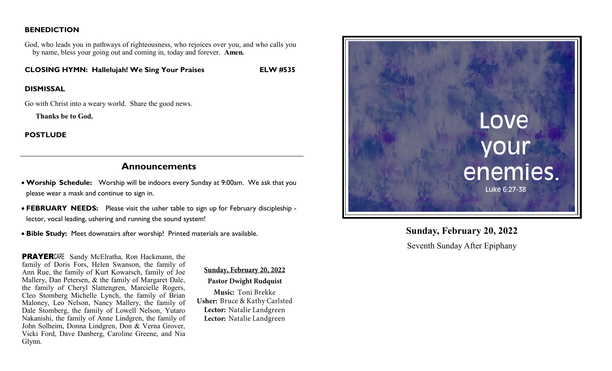### **BENEDICTION**

God, who leads you in pathways of righteousness, who rejoices over you, and who calls you by name, bless your going out and coming in, today and forever. **Amen.**

**CLOSING HYMN: Hallelujah! We Sing Your Praises ELW #535**

#### **DISMISSAL**

Go with Christ into a weary world. Share the good news.

 **Thanks be to God.** 

**POSTLUDE** 

# **Announcements**

- **Worship Schedule:** Worship will be indoors every Sunday at 9:00am. We ask that you please wear a mask and continue to sign in.
- **FEBRUARY NEEDS:** Please visit the usher table to sign up for February discipleship lector, vocal leading, ushering and running the sound system!
- **Bible Study:** Meet downstairs after worship! Printed materials are available.

**PRAYER**CARE Sandy McElratha, Ron Hackmann, the family of Doris Fors, Helen Swanson, the family of Ann Rue, the family of Kurt Kowarsch, family of Joe Mallery, Dan Petersen, & the family of Margaret Dale, the family of Cheryl Slattengren, Marcielle Rogers, Cleo Stomberg Michelle Lynch, the family of Brian Maloney, Leo Nelson, Nancy Mallery, the family of Dale Stomberg, the family of Lowell Nelson, Yutaro Nakanishi, the family of Anne Lindgren, the family of John Solheim, Donna Lindgren, Don & Verna Grover, Vicki Ford, Dave Danberg, Caroline Greene, and Nia Glynn.

Sunday, February 20, 2022 **Pastor Dwight Rudquist** Music: Toni Brekke Usher: Bruce & Kathy Carlsted Lector: Natalie Landgreen Lector: Natalie Landgreen



# **Sunday, February 20, 2022**

Seventh Sunday After Epiphany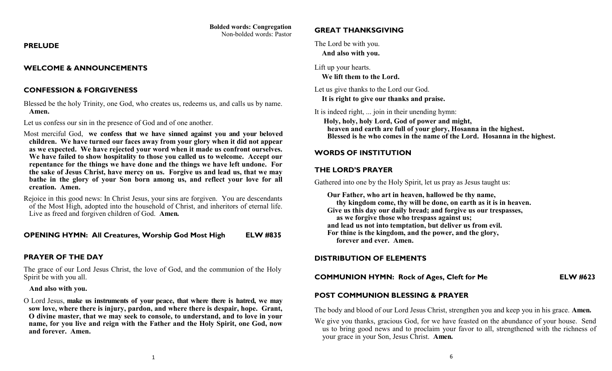# **Bolded words: Congregation**

Non-bolded words: Pastor

#### **PRELUDE**

### **WELCOME & ANNOUNCEMENTS**

# **CONFESSION & FORGIVENESS**

Blessed be the holy Trinity, one God, who creates us, redeems us, and calls us by name. **Amen.** 

Let us confess our sin in the presence of God and of one another.

Most merciful God, **we confess that we have sinned against you and your beloved children. We have turned our faces away from your glory when it did not appear as we expected. We have rejected your word when it made us confront ourselves. We have failed to show hospitality to those you called us to welcome. Accept our repentance for the things we have done and the things we have left undone. For the sake of Jesus Christ, have mercy on us. Forgive us and lead us, that we may bathe in the glory of your Son born among us, and reflect your love for all creation. Amen.**

Rejoice in this good news: In Christ Jesus, your sins are forgiven. You are descendants of the Most High, adopted into the household of Christ, and inheritors of eternal life. Live as freed and forgiven children of God. **Amen.**

**OPENING HYMN: All Creatures, Worship God Most High ELW #835**

## **PRAYER OF THE DAY**

The grace of our Lord Jesus Christ, the love of God, and the communion of the Holy Spirit be with you all.

### **And also with you.**

O Lord Jesus, **make us instruments of your peace, that where there is hatred, we may sow love, where there is injury, pardon, and where there is despair, hope. Grant, O divine master, that we may seek to console, to understand, and to love in your name, for you live and reign with the Father and the Holy Spirit, one God, now and forever. Amen.**

### **GREAT THANKSGIVING**

The Lord be with you.  **And also with you.**

Lift up your hearts.

 **We lift them to the Lord.**

Let us give thanks to the Lord our God.

 **It is right to give our thanks and praise.**

It is indeed right, ... join in their unending hymn:

 **Holy, holy, holy Lord, God of power and might, heaven and earth are full of your glory, Hosanna in the highest. Blessed is he who comes in the name of the Lord. Hosanna in the highest.**

## **WORDS OF INSTITUTION**

### **THE LORD'S PRAYER**

Gathered into one by the Holy Spirit, let us pray as Jesus taught us:

 **Our Father, who art in heaven, hallowed be thy name, thy kingdom come, thy will be done, on earth as it is in heaven. Give us this day our daily bread; and forgive us our trespasses, as we forgive those who trespass against us; and lead us not into temptation, but deliver us from evil. For thine is the kingdom, and the power, and the glory, forever and ever. Amen.**

## **DISTRIBUTION OF ELEMENTS**

**COMMUNION HYMN: Rock of Ages, Cleft for Me ELW #623**

# **POST COMMUNION BLESSING & PRAYER**

The body and blood of our Lord Jesus Christ, strengthen you and keep you in his grace. **Amen.**

We give you thanks, gracious God, for we have feasted on the abundance of your house. Send us to bring good news and to proclaim your favor to all, strengthened with the richness of your grace in your Son, Jesus Christ. **Amen.**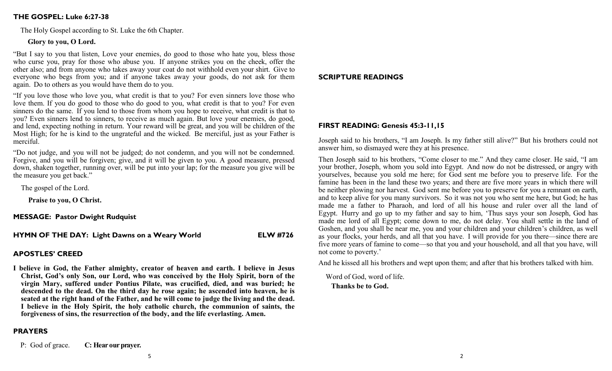#### **THE GOSPEL: Luke 6:27-38**

The Holy Gospel according to St. Luke the 6th Chapter.

#### **Glory to you, O Lord.**

"But I say to you that listen, Love your enemies, do good to those who hate you, bless those who curse you, pray for those who abuse you. If anyone strikes you on the cheek, offer the other also; and from anyone who takes away your coat do not withhold even your shirt. Give to everyone who begs from you; and if anyone takes away your goods, do not ask for them again. Do to others as you would have them do to you.

"If you love those who love you, what credit is that to you? For even sinners love those who love them. If you do good to those who do good to you, what credit is that to you? For even sinners do the same. If you lend to those from whom you hope to receive, what credit is that to you? Even sinners lend to sinners, to receive as much again. But love your enemies, do good, and lend, expecting nothing in return. Your reward will be great, and you will be children of the Most High; for he is kind to the ungrateful and the wicked. Be merciful, just as your Father is merciful.

"Do not judge, and you will not be judged; do not condemn, and you will not be condemned. Forgive, and you will be forgiven; give, and it will be given to you. A good measure, pressed down, shaken together, running over, will be put into your lap; for the measure you give will be the measure you get back."

The gospel of the Lord.

**Praise to you, O Christ.**

**MESSAGE: Pastor Dwight Rudquist**

**HYMN OF THE DAY: Light Dawns on a Weary World ELW #726**

### **APOSTLES' CREED**

**I believe in God, the Father almighty, creator of heaven and earth. I believe in Jesus Christ, God's only Son, our Lord, who was conceived by the Holy Spirit, born of the virgin Mary, suffered under Pontius Pilate, was crucified, died, and was buried; he descended to the dead. On the third day he rose again; he ascended into heaven, he is seated at the right hand of the Father, and he will come to judge the living and the dead. I believe in the Holy Spirit, the holy catholic church, the communion of saints, the forgiveness of sins, the resurrection of the body, and the life everlasting. Amen.**

#### **PRAYERS**

P: God of grace. **C: Hear our prayer.**

#### **SCRIPTURE READINGS**

#### **FIRST READING: Genesis 45:3-11,15**

Joseph said to his brothers, "I am Joseph. Is my father still alive?" But his brothers could not answer him, so dismayed were they at his presence.

Then Joseph said to his brothers, "Come closer to me." And they came closer. He said, "I am your brother, Joseph, whom you sold into Egypt. And now do not be distressed, or angry with yourselves, because you sold me here; for God sent me before you to preserve life. For the famine has been in the land these two years; and there are five more years in which there will be neither plowing nor harvest. God sent me before you to preserve for you a remnant on earth, and to keep alive for you many survivors. So it was not you who sent me here, but God; he has made me a father to Pharaoh, and lord of all his house and ruler over all the land of Egypt. Hurry and go up to my father and say to him, 'Thus says your son Joseph, God has made me lord of all Egypt; come down to me, do not delay. You shall settle in the land of Goshen, and you shall be near me, you and your children and your children's children, as well as your flocks, your herds, and all that you have. I will provide for you there—since there are five more years of famine to come—so that you and your household, and all that you have, will not come to poverty.'

And he kissed all his brothers and wept upon them; and after that his brothers talked with him.

 Word of God, word of life.  **Thanks be to God.**